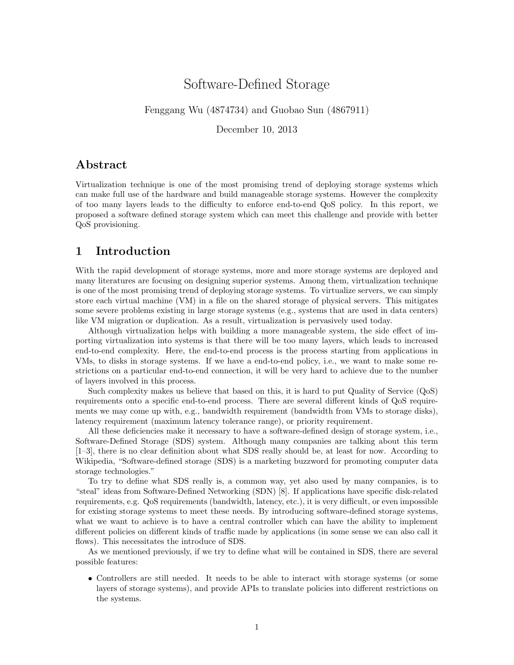# Software-Defined Storage

### Fenggang Wu (4874734) and Guobao Sun (4867911)

December 10, 2013

### Abstract

Virtualization technique is one of the most promising trend of deploying storage systems which can make full use of the hardware and build manageable storage systems. However the complexity of too many layers leads to the difficulty to enforce end-to-end QoS policy. In this report, we proposed a software defined storage system which can meet this challenge and provide with better QoS provisioning.

### 1 Introduction

With the rapid development of storage systems, more and more storage systems are deployed and many literatures are focusing on designing superior systems. Among them, virtualization technique is one of the most promising trend of deploying storage systems. To virtualize servers, we can simply store each virtual machine (VM) in a file on the shared storage of physical servers. This mitigates some severe problems existing in large storage systems (e.g., systems that are used in data centers) like VM migration or duplication. As a result, virtualization is pervasively used today.

Although virtualization helps with building a more manageable system, the side effect of importing virtualization into systems is that there will be too many layers, which leads to increased end-to-end complexity. Here, the end-to-end process is the process starting from applications in VMs, to disks in storage systems. If we have a end-to-end policy, i.e., we want to make some restrictions on a particular end-to-end connection, it will be very hard to achieve due to the number of layers involved in this process.

Such complexity makes us believe that based on this, it is hard to put Quality of Service (QoS) requirements onto a specific end-to-end process. There are several different kinds of QoS requirements we may come up with, e.g., bandwidth requirement (bandwidth from VMs to storage disks), latency requirement (maximum latency tolerance range), or priority requirement.

All these deficiencies make it necessary to have a software-defined design of storage system, i.e., Software-Defined Storage (SDS) system. Although many companies are talking about this term [1–3], there is no clear definition about what SDS really should be, at least for now. According to Wikipedia, "Software-defined storage (SDS) is a marketing buzzword for promoting computer data storage technologies."

To try to define what SDS really is, a common way, yet also used by many companies, is to "steal" ideas from Software-Defined Networking (SDN) [8]. If applications have specific disk-related requirements, e.g. QoS requirements (bandwidth, latency, etc.), it is very difficult, or even impossible for existing storage systems to meet these needs. By introducing software-defined storage systems, what we want to achieve is to have a central controller which can have the ability to implement different policies on different kinds of traffic made by applications (in some sense we can also call it flows). This necessitates the introduce of SDS.

As we mentioned previously, if we try to define what will be contained in SDS, there are several possible features:

• Controllers are still needed. It needs to be able to interact with storage systems (or some layers of storage systems), and provide APIs to translate policies into different restrictions on the systems.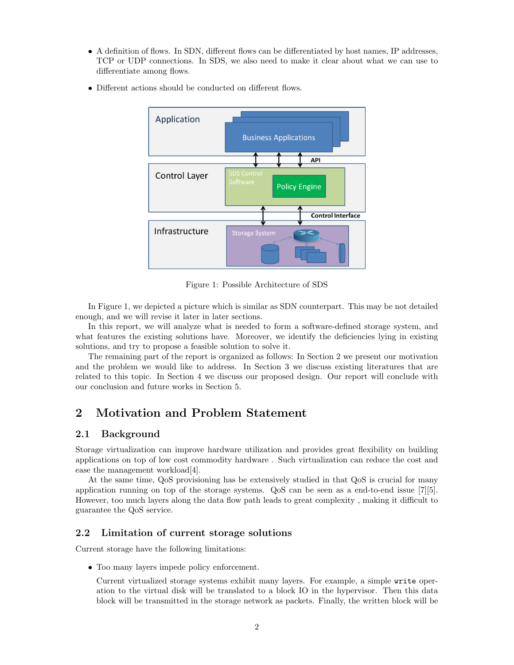- A definition of flows. In SDN, different flows can be differentiated by host names, IP addresses, TCP or UDP connections. In SDS, we also need to make it clear about what we can use to differentiate among flows.
- Different actions should be conducted on different flows.



Figure 1: Possible Architecture of SDS

In Figure 1, we depicted a picture which is similar as SDN counterpart. This may be not detailed enough, and we will revise it later in later sections.

In this report, we will analyze what is needed to form a software-defined storage system, and what features the existing solutions have. Moreover, we identify the deficiencies lying in existing solutions, and try to propose a feasible solution to solve it.

The remaining part of the report is organized as follows: In Section 2 we present our motivation and the problem we would like to address. In Section 3 we discuss existing literatures that are related to this topic. In Section 4 we discuss our proposed design. Our report will conclude with our conclusion and future works in Section 5.

## 2 Motivation and Problem Statement

### 2.1 Background

Storage virtualization can improve hardware utilization and provides great flexibility on building applications on top of low cost commodity hardware . Such virtualization can reduce the cost and ease the management workload[4].

At the same time, QoS provisioning has be extensively studied in that QoS is crucial for many application running on top of the storage systems. QoS can be seen as a end-to-end issue [7][5]. However, too much layers along the data flow path leads to great complexity , making it difficult to guarantee the QoS service.

#### 2.2 Limitation of current storage solutions

Current storage have the following limitations:

• Too many layers impede policy enforcement.

Current virtualized storage systems exhibit many layers. For example, a simple write operation to the virtual disk will be translated to a block IO in the hypervisor. Then this data block will be transmitted in the storage network as packets. Finally, the written block will be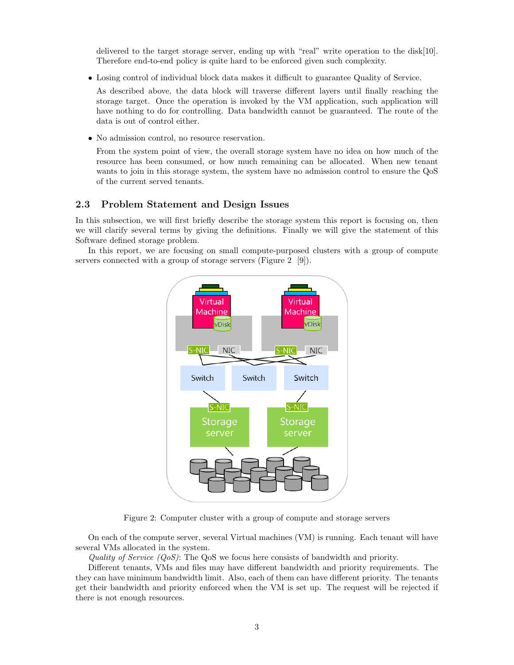delivered to the target storage server, ending up with "real" write operation to the disk[10]. Therefore end-to-end policy is quite hard to be enforced given such complexity.

• Losing control of individual block data makes it difficult to guarantee Quality of Service.

As described above, the data block will traverse different layers until finally reaching the storage target. Once the operation is invoked by the VM application, such application will have nothing to do for controlling. Data bandwidth cannot be guaranteed. The route of the data is out of control either.

• No admission control, no resource reservation.

From the system point of view, the overall storage system have no idea on how much of the resource has been consumed, or how much remaining can be allocated. When new tenant wants to join in this storage system, the system have no admission control to ensure the QoS of the current served tenants.

### 2.3 Problem Statement and Design Issues

In this subsection, we will first briefly describe the storage system this report is focusing on, then we will clarify several terms by giving the definitions. Finally we will give the statement of this Software defined storage problem.

In this report, we are focusing on small compute-purposed clusters with a group of compute servers connected with a group of storage servers (Figure 2 [9]).



Figure 2: Computer cluster with a group of compute and storage servers

On each of the compute server, several Virtual machines (VM) is running. Each tenant will have several VMs allocated in the system.

Quality of Service  $(QoS)$ : The QoS we focus here consists of bandwidth and priority.

Different tenants, VMs and files may have different bandwidth and priority requirements. The they can have minimum bandwidth limit. Also, each of them can have different priority. The tenants get their bandwidth and priority enforced when the VM is set up. The request will be rejected if there is not enough resources.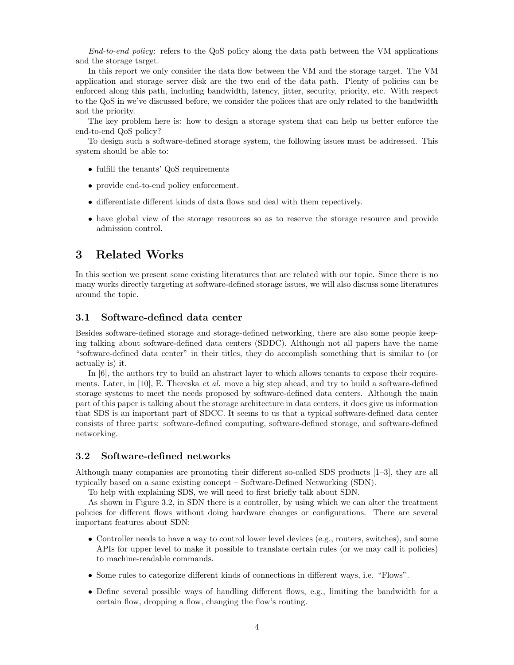End-to-end policy: refers to the QoS policy along the data path between the VM applications and the storage target.

In this report we only consider the data flow between the VM and the storage target. The VM application and storage server disk are the two end of the data path. Plenty of policies can be enforced along this path, including bandwidth, latency, jitter, security, priority, etc. With respect to the QoS in we've discussed before, we consider the polices that are only related to the bandwidth and the priority.

The key problem here is: how to design a storage system that can help us better enforce the end-to-end QoS policy?

To design such a software-defined storage system, the following issues must be addressed. This system should be able to:

- fulfill the tenants' QoS requirements
- provide end-to-end policy enforcement.
- differentiate different kinds of data flows and deal with them repectively.
- have global view of the storage resources so as to reserve the storage resource and provide admission control.

## 3 Related Works

In this section we present some existing literatures that are related with our topic. Since there is no many works directly targeting at software-defined storage issues, we will also discuss some literatures around the topic.

#### 3.1 Software-defined data center

Besides software-defined storage and storage-defined networking, there are also some people keeping talking about software-defined data centers (SDDC). Although not all papers have the name "software-defined data center" in their titles, they do accomplish something that is similar to (or actually is) it.

In [6], the authors try to build an abstract layer to which allows tenants to expose their requirements. Later, in [10], E. Thereska *et al.* move a big step ahead, and try to build a software-defined storage systems to meet the needs proposed by software-defined data centers. Although the main part of this paper is talking about the storage architecture in data centers, it does give us information that SDS is an important part of SDCC. It seems to us that a typical software-defined data center consists of three parts: software-defined computing, software-defined storage, and software-defined networking.

#### 3.2 Software-defined networks

Although many companies are promoting their different so-called SDS products [1–3], they are all typically based on a same existing concept – Software-Defined Networking (SDN).

To help with explaining SDS, we will need to first briefly talk about SDN.

As shown in Figure 3.2, in SDN there is a controller, by using which we can alter the treatment policies for different flows without doing hardware changes or configurations. There are several important features about SDN:

- Controller needs to have a way to control lower level devices (e.g., routers, switches), and some APIs for upper level to make it possible to translate certain rules (or we may call it policies) to machine-readable commands.
- Some rules to categorize different kinds of connections in different ways, i.e. "Flows".
- Define several possible ways of handling different flows, e.g., limiting the bandwidth for a certain flow, dropping a flow, changing the flow's routing.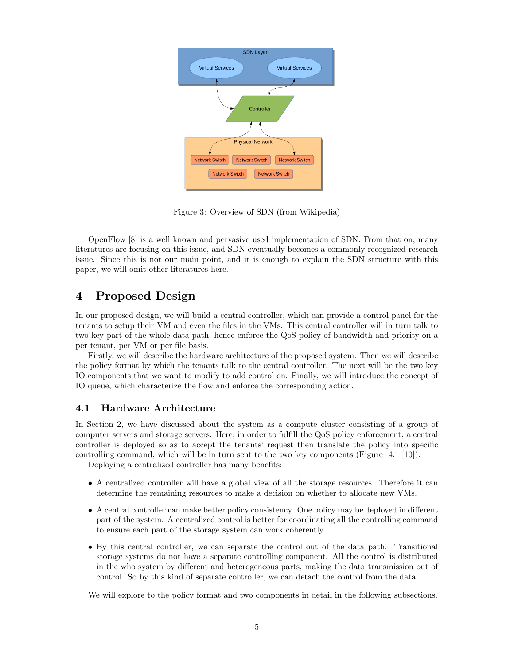

Figure 3: Overview of SDN (from Wikipedia)

OpenFlow [8] is a well known and pervasive used implementation of SDN. From that on, many literatures are focusing on this issue, and SDN eventually becomes a commonly recognized research issue. Since this is not our main point, and it is enough to explain the SDN structure with this paper, we will omit other literatures here.

## 4 Proposed Design

In our proposed design, we will build a central controller, which can provide a control panel for the tenants to setup their VM and even the files in the VMs. This central controller will in turn talk to two key part of the whole data path, hence enforce the QoS policy of bandwidth and priority on a per tenant, per VM or per file basis.

Firstly, we will describe the hardware architecture of the proposed system. Then we will describe the policy format by which the tenants talk to the central controller. The next will be the two key IO components that we want to modify to add control on. Finally, we will introduce the concept of IO queue, which characterize the flow and enforce the corresponding action.

### 4.1 Hardware Architecture

In Section 2, we have discussed about the system as a compute cluster consisting of a group of computer servers and storage servers. Here, in order to fulfill the QoS policy enforcement, a central controller is deployed so as to accept the tenants' request then translate the policy into specific controlling command, which will be in turn sent to the two key components (Figure 4.1 [10]).

Deploying a centralized controller has many benefits:

- A centralized controller will have a global view of all the storage resources. Therefore it can determine the remaining resources to make a decision on whether to allocate new VMs.
- A central controller can make better policy consistency. One policy may be deployed in different part of the system. A centralized control is better for coordinating all the controlling command to ensure each part of the storage system can work coherently.
- By this central controller, we can separate the control out of the data path. Transitional storage systems do not have a separate controlling component. All the control is distributed in the who system by different and heterogeneous parts, making the data transmission out of control. So by this kind of separate controller, we can detach the control from the data.

We will explore to the policy format and two components in detail in the following subsections.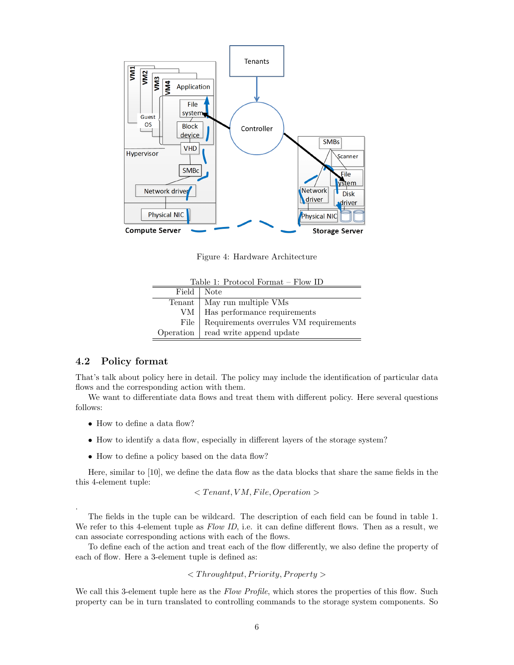

Figure 4: Hardware Architecture

| Table 1: Protocol Format – Flow ID |                                        |  |  |  |
|------------------------------------|----------------------------------------|--|--|--|
| Field   Note                       |                                        |  |  |  |
|                                    | Tenant   May run multiple VMs          |  |  |  |
|                                    | VM   Has performance requirements      |  |  |  |
| File                               | Requirements overrules VM requirements |  |  |  |
|                                    | Operation   read write append update   |  |  |  |

#### 4.2 Policy format

.

That's talk about policy here in detail. The policy may include the identification of particular data flows and the corresponding action with them.

We want to differentiate data flows and treat them with different policy. Here several questions follows:

- How to define a data flow?
- How to identify a data flow, especially in different layers of the storage system?
- How to define a policy based on the data flow?

Here, similar to [10], we define the data flow as the data blocks that share the same fields in the this 4-element tuple:

 $\langle$  Tenant, VM, File, Operation  $\rangle$ 

The fields in the tuple can be wildcard. The description of each field can be found in table 1. We refer to this 4-element tuple as  $Flow ID$ , i.e. it can define different flows. Then as a result, we can associate corresponding actions with each of the flows.

To define each of the action and treat each of the flow differently, we also define the property of each of flow. Here a 3-element tuple is defined as:

 $\langle$  Throughtput, Priority, Property  $>$ 

We call this 3-element tuple here as the Flow Profile, which stores the properties of this flow. Such property can be in turn translated to controlling commands to the storage system components. So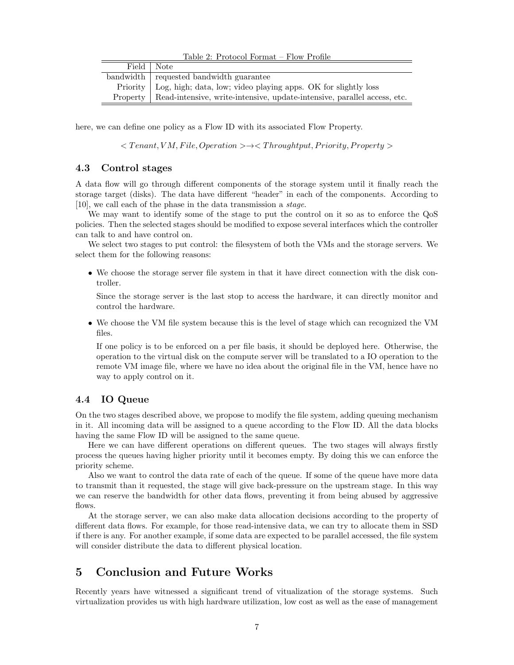|  |  | Table 2: Protocol Format – Flow Profile |  |
|--|--|-----------------------------------------|--|
|  |  |                                         |  |

| Field   Note |                                                                                     |
|--------------|-------------------------------------------------------------------------------------|
|              | bandwidth requested bandwidth guarantee                                             |
|              | Priority   Log, high; data, low; video playing apps. OK for slightly loss           |
|              | Property   Read-intensive, write-intensive, update-intensive, parallel access, etc. |

here, we can define one policy as a Flow ID with its associated Flow Property.

 $\langle$  Tenant, VM, File, Operation >  $\rightarrow \langle$  Throughtput, Priority, Property >

#### 4.3 Control stages

A data flow will go through different components of the storage system until it finally reach the storage target (disks). The data have different "header" in each of the components. According to [10], we call each of the phase in the data transmission a stage.

We may want to identify some of the stage to put the control on it so as to enforce the QoS policies. Then the selected stages should be modified to expose several interfaces which the controller can talk to and have control on.

We select two stages to put control: the filesystem of both the VMs and the storage servers. We select them for the following reasons:

• We choose the storage server file system in that it have direct connection with the disk controller.

Since the storage server is the last stop to access the hardware, it can directly monitor and control the hardware.

• We choose the VM file system because this is the level of stage which can recognized the VM files.

If one policy is to be enforced on a per file basis, it should be deployed here. Otherwise, the operation to the virtual disk on the compute server will be translated to a IO operation to the remote VM image file, where we have no idea about the original file in the VM, hence have no way to apply control on it.

### 4.4 IO Queue

On the two stages described above, we propose to modify the file system, adding queuing mechanism in it. All incoming data will be assigned to a queue according to the Flow ID. All the data blocks having the same Flow ID will be assigned to the same queue.

Here we can have different operations on different queues. The two stages will always firstly process the queues having higher priority until it becomes empty. By doing this we can enforce the priority scheme.

Also we want to control the data rate of each of the queue. If some of the queue have more data to transmit than it requested, the stage will give back-pressure on the upstream stage. In this way we can reserve the bandwidth for other data flows, preventing it from being abused by aggressive flows.

At the storage server, we can also make data allocation decisions according to the property of different data flows. For example, for those read-intensive data, we can try to allocate them in SSD if there is any. For another example, if some data are expected to be parallel accessed, the file system will consider distribute the data to different physical location.

## 5 Conclusion and Future Works

Recently years have witnessed a significant trend of vitualization of the storage systems. Such virtualization provides us with high hardware utilization, low cost as well as the ease of management